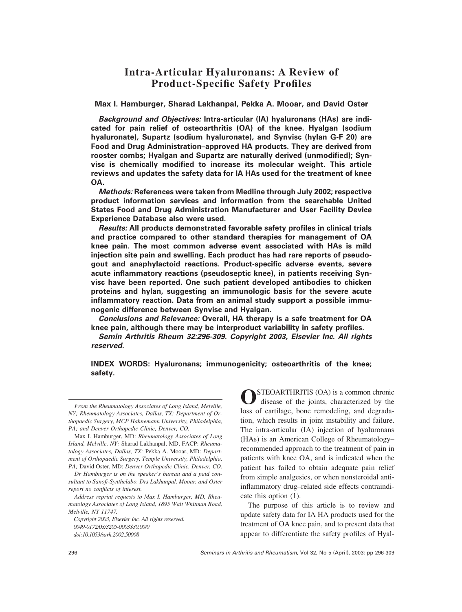# **Intra-Articular Hyaluronans: A Review of Product-Specific Safety Profiles**

### **Max I. Hamburger, Sharad Lakhanpal, Pekka A. Mooar, and David Oster**

*Background and Objectives:* **Intra-articular (IA) hyaluronans (HAs) are indicated for pain relief of osteoarthritis (OA) of the knee. Hyalgan (sodium hyaluronate), Supartz (sodium hyaluronate), and Synvisc (hylan G-F 20) are Food and Drug Administration–approved HA products. They are derived from rooster combs; Hyalgan and Supartz are naturally derived (unmodified); Synvisc is chemically modified to increase its molecular weight. This article reviews and updates the safety data for IA HAs used for the treatment of knee OA.**

*Methods:* **References were taken from Medline through July 2002; respective product information services and information from the searchable United States Food and Drug Administration Manufacturer and User Facility Device Experience Database also were used.**

*Results:* **All products demonstrated favorable safety profiles in clinical trials and practice compared to other standard therapies for management of OA knee pain. The most common adverse event associated with HAs is mild injection site pain and swelling. Each product has had rare reports of pseudogout and anaphylactoid reactions. Product-specific adverse events, severe acute inflammatory reactions (pseudoseptic knee), in patients receiving Synvisc have been reported. One such patient developed antibodies to chicken proteins and hylan, suggesting an immunologic basis for the severe acute inflammatory reaction. Data from an animal study support a possible immunogenic difference between Synvisc and Hyalgan.**

*Conclusions and Relevance:* **Overall, HA therapy is a safe treatment for OA knee pain, although there may be interproduct variability in safety profiles.**

*Semin Arthritis Rheum 32:296-309. Copyright 2003, Elsevier Inc. All rights reserved.*

# **INDEX WORDS: Hyaluronans; immunogenicity; osteoarthritis of the knee; safety.**

*Dr Hamburger is on the speaker's bureau and a paid consultant to Sanofi-Synthelabo. Drs Lakhanpal, Mooar, and Oster report no conflicts of interest.*

*Address reprint requests to Max I. Hamburger, MD, Rheumatology Associates of Long Island, 1895 Walt Whitman Road, Melville, NY 11747.*

*Copyright 2003, Elsevier Inc. All rights reserved. 0049-0172/03/3205-0003\$30.00/0 doi:10.1053/sarh.2002.50008*

**STEOARTHRITIS (OA) is a common chronic** disease of the joints, characterized by the loss of cartilage, bone remodeling, and degradation, which results in joint instability and failure. The intra-articular (IA) injection of hyaluronans (HAs) is an American College of Rheumatology– recommended approach to the treatment of pain in patients with knee OA, and is indicated when the patient has failed to obtain adequate pain relief from simple analgesics, or when nonsteroidal antiinflammatory drug–related side effects contraindicate this option (1).

The purpose of this article is to review and update safety data for IA HA products used for the treatment of OA knee pain, and to present data that appear to differentiate the safety profiles of Hyal-

*From the Rheumatology Associates of Long Island, Melville, NY; Rheumatology Associates, Dallas, TX; Department of Orthopaedic Surgery, MCP Hahnemann University, Philadelphia, PA; and Denver Orthopedic Clinic, Denver, CO.*

Max I. Hamburger, MD: *Rheumatology Associates of Long Island, Melville, NY;* Sharad Lakhanpal, MD, FACP: *Rheumatology Associates, Dallas, TX;* Pekka A. Mooar, MD: *Department of Orthopaedic Surgery, Temple University, Philadelphia, PA;* David Oster, MD: *Denver Orthopedic Clinic, Denver, CO.*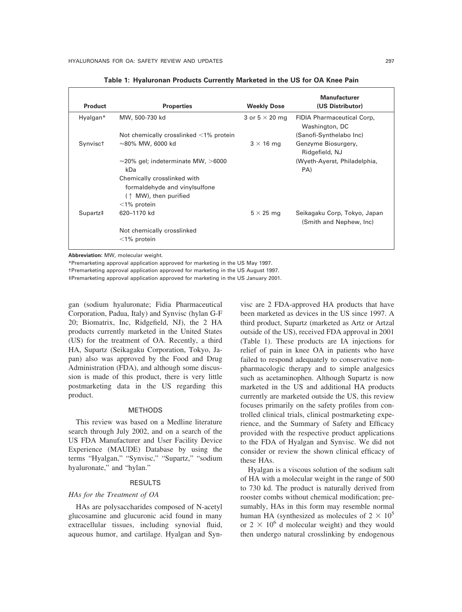| <b>Product</b>  | <b>Properties</b>                                                                                        | <b>Weekly Dose</b>    | <b>Manufacturer</b><br>(US Distributor)                 |
|-----------------|----------------------------------------------------------------------------------------------------------|-----------------------|---------------------------------------------------------|
| Hyalgan*        | MW, 500-730 kd                                                                                           | 3 or $5 \times 20$ mg | FIDIA Pharmaceutical Corp,                              |
|                 |                                                                                                          |                       | Washington, DC                                          |
|                 | Not chemically crosslinked $\leq$ 1% protein                                                             |                       | (Sanofi-Synthelabo Inc)                                 |
| <b>Synvisct</b> | ≈80% MW, 6000 kd                                                                                         | $3 \times 16$ mg      | Genzyme Biosurgery,<br>Ridgefield, NJ                   |
|                 | $\approx$ 20% gel; indeterminate MW, $>$ 6000<br>kDa                                                     |                       | (Wyeth-Ayerst, Philadelphia,<br>PA)                     |
|                 | Chemically crosslinked with<br>formaldehyde and vinylsulfone<br>$($ MW), then purified<br>$<$ 1% protein |                       |                                                         |
| Supartz‡        | 620-1170 kd                                                                                              | $5 \times 25$ mg      | Seikagaku Corp, Tokyo, Japan<br>(Smith and Nephew, Inc) |
|                 | Not chemically crosslinked                                                                               |                       |                                                         |
|                 | $<$ 1% protein                                                                                           |                       |                                                         |

**Table 1: Hyaluronan Products Currently Marketed in the US for OA Knee Pain**

**Abbreviation:** MW, molecular weight.

\*Premarketing approval application approved for marketing in the US May 1997.

†Premarketing approval application approved for marketing in the US August 1997.

‡Premarketing approval application approved for marketing in the US January 2001.

gan (sodium hyaluronate; Fidia Pharmaceutical Corporation, Padua, Italy) and Synvisc (hylan G-F 20; Biomatrix, Inc, Ridgefield, NJ), the 2 HA products currently marketed in the United States (US) for the treatment of OA. Recently, a third HA, Supartz (Seikagaku Corporation, Tokyo, Japan) also was approved by the Food and Drug Administration (FDA), and although some discussion is made of this product, there is very little postmarketing data in the US regarding this product.

#### METHODS

This review was based on a Medline literature search through July 2002, and on a search of the US FDA Manufacturer and User Facility Device Experience (MAUDE) Database by using the terms "Hyalgan," "Synvisc," "Supartz," "sodium hyaluronate," and "hylan."

#### RESULTS

## *HAs for the Treatment of OA*

HAs are polysaccharides composed of N-acetyl glucosamine and glucuronic acid found in many extracellular tissues, including synovial fluid, aqueous humor, and cartilage. Hyalgan and Synvisc are 2 FDA-approved HA products that have been marketed as devices in the US since 1997. A third product, Supartz (marketed as Artz or Artzal outside of the US), received FDA approval in 2001 (Table 1). These products are IA injections for relief of pain in knee OA in patients who have failed to respond adequately to conservative nonpharmacologic therapy and to simple analgesics such as acetaminophen. Although Supartz is now marketed in the US and additional HA products currently are marketed outside the US, this review focuses primarily on the safety profiles from controlled clinical trials, clinical postmarketing experience, and the Summary of Safety and Efficacy provided with the respective product applications to the FDA of Hyalgan and Synvisc. We did not consider or review the shown clinical efficacy of these HAs.

Hyalgan is a viscous solution of the sodium salt of HA with a molecular weight in the range of 500 to 730 kd. The product is naturally derived from rooster combs without chemical modification; presumably, HAs in this form may resemble normal human HA (synthesized as molecules of  $2 \times 10^5$ ) or  $2 \times 10^6$  d molecular weight) and they would then undergo natural crosslinking by endogenous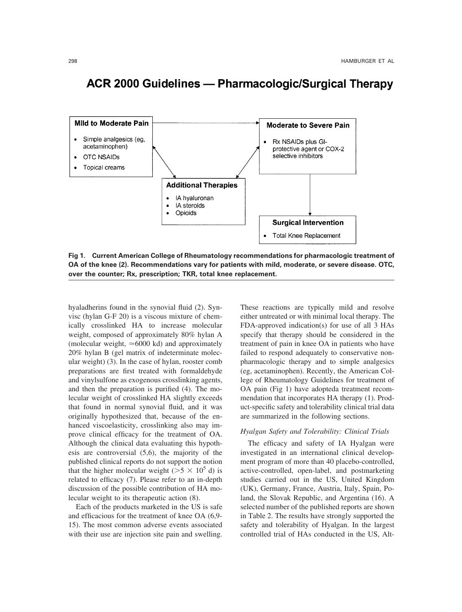

# **ACR 2000 Guidelines - Pharmacologic/Surgical Therapy**

**Fig 1. Current American College of Rheumatology recommendations for pharmacologic treatment of OA of the knee (2). Recommendations vary for patients with mild, moderate, or severe disease. OTC, over the counter; Rx, prescription; TKR, total knee replacement.**

hyaladherins found in the synovial fluid (2). Synvisc (hylan G-F 20) is a viscous mixture of chemically crosslinked HA to increase molecular weight, composed of approximately 80% hylan A (molecular weight,  $\approx$  6000 kd) and approximately 20% hylan B (gel matrix of indeterminate molecular weight) (3). In the case of hylan, rooster comb preparations are first treated with formaldehyde and vinylsulfone as exogenous crosslinking agents, and then the preparation is purified (4). The molecular weight of crosslinked HA slightly exceeds that found in normal synovial fluid, and it was originally hypothesized that, because of the enhanced viscoelasticity, crosslinking also may improve clinical efficacy for the treatment of OA. Although the clinical data evaluating this hypothesis are controversial (5,6), the majority of the published clinical reports do not support the notion that the higher molecular weight ( $> 5 \times 10^5$  d) is related to efficacy (7). Please refer to an in-depth discussion of the possible contribution of HA molecular weight to its therapeutic action (8).

Each of the products marketed in the US is safe and efficacious for the treatment of knee OA (6,9- 15). The most common adverse events associated with their use are injection site pain and swelling. These reactions are typically mild and resolve either untreated or with minimal local therapy. The FDA-approved indication(s) for use of all 3 HAs specify that therapy should be considered in the treatment of pain in knee OA in patients who have failed to respond adequately to conservative nonpharmacologic therapy and to simple analgesics (eg, acetaminophen). Recently, the American College of Rheumatology Guidelines for treatment of OA pain (Fig 1) have adopteda treatment recommendation that incorporates HA therapy (1). Product-specific safety and tolerability clinical trial data are summarized in the following sections.

### *Hyalgan Safety and Tolerability: Clinical Trials*

The efficacy and safety of IA Hyalgan were investigated in an international clinical development program of more than 40 placebo-controlled, active-controlled, open-label, and postmarketing studies carried out in the US, United Kingdom (UK), Germany, France, Austria, Italy, Spain, Poland, the Slovak Republic, and Argentina (16). A selected number of the published reports are shown in Table 2. The results have strongly supported the safety and tolerability of Hyalgan. In the largest controlled trial of HAs conducted in the US, Alt-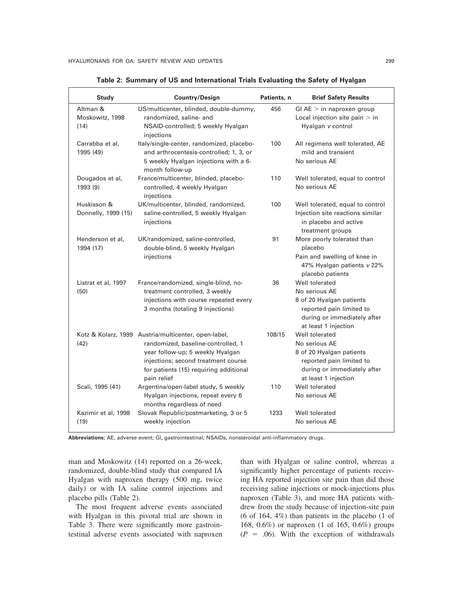| <b>Study</b>                        | <b>Country/Design</b>                                                                                                                                                                                                          | Patients, n | <b>Brief Safety Results</b>                                                                                                                    |
|-------------------------------------|--------------------------------------------------------------------------------------------------------------------------------------------------------------------------------------------------------------------------------|-------------|------------------------------------------------------------------------------------------------------------------------------------------------|
| Altman &<br>Moskowitz, 1998<br>(14) | US/multicenter, blinded, double-dummy,<br>randomized, saline- and<br>NSAID-controlled; 5 weekly Hyalgan<br>injections                                                                                                          | 456         | GI $AE >$ in naproxen group<br>Local injection site pain $>$ in<br>Hyalgan v control                                                           |
| Carrabba et al,<br>1995 (49)        | Italy/single-center, randomized, placebo-<br>and arthrocentesis-controlled; 1, 3, or<br>5 weekly Hyalgan injections with a 6-<br>month follow-up                                                                               | 100         | All regimens well tolerated, AE<br>mild and transient<br>No serious AE                                                                         |
| Dougados et al,<br>1993(9)          | France/multicenter, blinded, placebo-<br>controlled, 4 weekly Hyalgan<br>injections                                                                                                                                            | 110         | Well tolerated, equal to control<br>No serious AE                                                                                              |
| Huskisson &<br>Donnelly, 1999 (15)  | UK/multicenter, blinded, randomized,<br>saline-controlled, 5 weekly Hyalgan<br>injections                                                                                                                                      | 100         | Well tolerated, equal to control<br>Injection site reactions similar<br>in placebo and active<br>treatment groups                              |
| Henderson et al,<br>1994 (17)       | UK/randomized, saline-controlled,<br>double-blind, 5 weekly Hyalgan<br>injections                                                                                                                                              | 91          | More poorly tolerated than<br>placebo<br>Pain and swelling of knee in<br>47% Hyalgan patients v 22%<br>placebo patients                        |
| Listrat et al, 1997<br>(50)         | France/randomized, single-blind, no-<br>treatment controlled, 3 weekly<br>injections with course repeated every<br>3 months (totaling 9 injections)                                                                            | 36          | Well tolerated<br>No serious AE<br>8 of 20 Hyalgan patients<br>reported pain limited to<br>during or immediately after<br>at least 1 injection |
| (42)                                | Kotz & Kolarz, 1999 Austria/multicenter, open-label,<br>randomized, baseline-controlled, 1<br>year follow-up; 5 weekly Hyalgan<br>injections; second treatment course<br>for patients (15) requiring additional<br>pain relief | 108/15      | Well tolerated<br>No serious AE<br>8 of 20 Hyalgan patients<br>reported pain limited to<br>during or immediately after<br>at least 1 injection |
| Scali, 1995 (41)                    | Argentina/open-label study, 5 weekly<br>Hyalgan injections, repeat every 6<br>months regardless of need                                                                                                                        | 110         | Well tolerated<br>No serious AE                                                                                                                |
| Kazimir et al, 1998<br>(19)         | Slovak Republic/postmarketing, 3 or 5<br>weekly injection                                                                                                                                                                      | 1233        | Well tolerated<br>No serious AE                                                                                                                |

**Table 2: Summary of US and International Trials Evaluating the Safety of Hyalgan**

**Abbreviations:** AE, adverse event; GI, gastrointestinal; NSAIDs, nonsteroidal anti-inflammatory drugs.

man and Moskowitz (14) reported on a 26-week, randomized, double-blind study that compared IA Hyalgan with naproxen therapy (500 mg, twice daily) or with IA saline control injections and placebo pills (Table 2).

The most frequent adverse events associated with Hyalgan in this pivotal trial are shown in Table 3. There were significantly more gastrointestinal adverse events associated with naproxen than with Hyalgan or saline control, whereas a significantly higher percentage of patients receiving HA reported injection site pain than did those receiving saline injections or mock-injections plus naproxen (Table 3), and more HA patients withdrew from the study because of injection-site pain (6 of 164, 4%) than patients in the placebo (1 of 168, 0.6%) or naproxen (1 of 165, 0.6%) groups  $(P = .06)$ . With the exception of withdrawals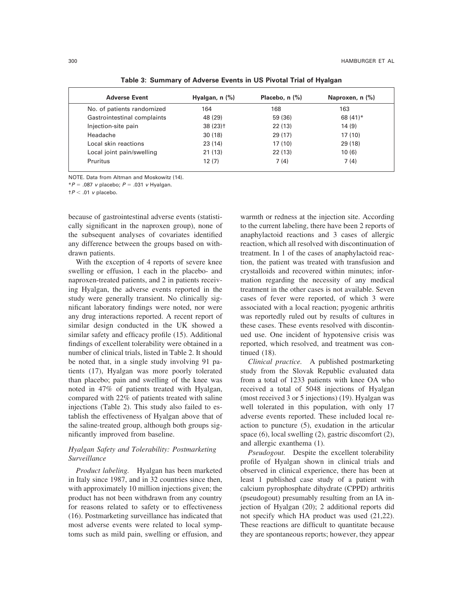| <b>Adverse Event</b>        | Hyalgan, $n$ $\%$ ) | Placebo, $n$ $\%$ ) | Naproxen, $n$ $\%$ |
|-----------------------------|---------------------|---------------------|--------------------|
| No. of patients randomized  | 164                 | 168                 | 163                |
| Gastrointestinal complaints | 48 (29)             | 59 (36)             | 68 (41)*           |
| Injection-site pain         | 38 (23) †           | 22(13)              | 14(9)              |
| Headache                    | 30(18)              | 29 (17)             | 17(10)             |
| Local skin reactions        | 23(14)              | 17 (10)             | 29(18)             |
| Local joint pain/swelling   | 21(13)              | 22(13)              | 10(6)              |
| Pruritus                    | 12(7)               | 7(4)                | 7(4)               |

**Table 3: Summary of Adverse Events in US Pivotal Trial of Hyalgan**

NOTE. Data from Altman and Moskowitz (14).

 $*P = .087$  *v* placebo;  $P = .031$  *v* Hyalgan.

 $\uparrow$ *P* < .01 *v* placebo.

because of gastrointestinal adverse events (statistically significant in the naproxen group), none of the subsequent analyses of covariates identified any difference between the groups based on withdrawn patients.

With the exception of 4 reports of severe knee swelling or effusion, 1 each in the placebo- and naproxen-treated patients, and 2 in patients receiving Hyalgan, the adverse events reported in the study were generally transient. No clinically significant laboratory findings were noted, nor were any drug interactions reported. A recent report of similar design conducted in the UK showed a similar safety and efficacy profile (15). Additional findings of excellent tolerability were obtained in a number of clinical trials, listed in Table 2. It should be noted that, in a single study involving 91 patients (17), Hyalgan was more poorly tolerated than placebo; pain and swelling of the knee was noted in 47% of patients treated with Hyalgan, compared with 22% of patients treated with saline injections (Table 2). This study also failed to establish the effectiveness of Hyalgan above that of the saline-treated group, although both groups significantly improved from baseline.

## *Hyalgan Safety and Tolerability: Postmarketing Surveillance*

*Product labeling.* Hyalgan has been marketed in Italy since 1987, and in 32 countries since then, with approximately 10 million injections given; the product has not been withdrawn from any country for reasons related to safety or to effectiveness (16). Postmarketing surveillance has indicated that most adverse events were related to local symptoms such as mild pain, swelling or effusion, and warmth or redness at the injection site. According to the current labeling, there have been 2 reports of anaphylactoid reactions and 3 cases of allergic reaction, which all resolved with discontinuation of treatment. In 1 of the cases of anaphylactoid reaction, the patient was treated with transfusion and crystalloids and recovered within minutes; information regarding the necessity of any medical treatment in the other cases is not available. Seven cases of fever were reported, of which 3 were associated with a local reaction; pyogenic arthritis was reportedly ruled out by results of cultures in these cases. These events resolved with discontinued use. One incident of hypotensive crisis was reported, which resolved, and treatment was continued (18).

*Clinical practice.* A published postmarketing study from the Slovak Republic evaluated data from a total of 1233 patients with knee OA who received a total of 5048 injections of Hyalgan (most received 3 or 5 injections) (19). Hyalgan was well tolerated in this population, with only 17 adverse events reported. These included local reaction to puncture (5), exudation in the articular space (6), local swelling (2), gastric discomfort (2), and allergic exanthema (1).

*Pseudogout.* Despite the excellent tolerability profile of Hyalgan shown in clinical trials and observed in clinical experience, there has been at least 1 published case study of a patient with calcium pyrophosphate dihydrate (CPPD) arthritis (pseudogout) presumably resulting from an IA injection of Hyalgan (20); 2 additional reports did not specify which HA product was used (21,22). These reactions are difficult to quantitate because they are spontaneous reports; however, they appear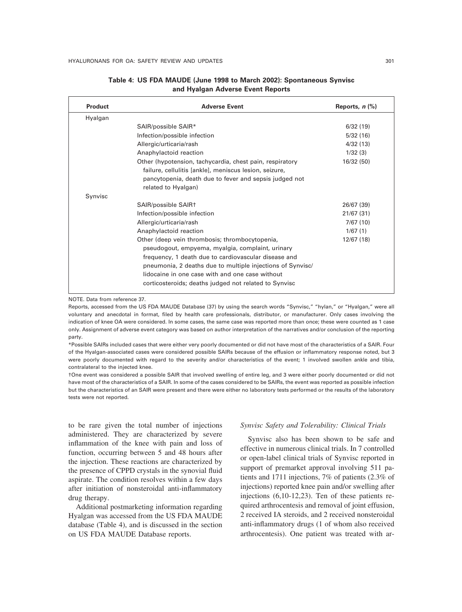| <b>Product</b> | <b>Adverse Event</b>                                                          | Reports, $n$ $\left(\% \right)$ |
|----------------|-------------------------------------------------------------------------------|---------------------------------|
| Hyalgan        |                                                                               |                                 |
|                | SAIR/possible SAIR*                                                           | 6/32(19)                        |
|                | Infection/possible infection                                                  | 5/32(16)                        |
|                | Allergic/urticaria/rash                                                       | 4/32(13)                        |
|                | Anaphylactoid reaction                                                        | 1/32(3)                         |
|                | Other (hypotension, tachycardia, chest pain, respiratory                      | 16/32(50)                       |
|                | failure, cellulitis [ankle], meniscus lesion, seizure,                        |                                 |
|                | pancytopenia, death due to fever and sepsis judged not<br>related to Hyalgan) |                                 |
| Synvisc        |                                                                               |                                 |
|                | SAIR/possible SAIR+                                                           | 26/67 (39)                      |
|                | Infection/possible infection                                                  | 21/67(31)                       |
|                | Allergic/urticaria/rash                                                       | 7/67(10)                        |
|                | Anaphylactoid reaction                                                        | 1/67(1)                         |
|                | Other (deep vein thrombosis; thrombocytopenia,                                | 12/67 (18)                      |
|                | pseudogout, empyema, myalgia, complaint, urinary                              |                                 |
|                | frequency, 1 death due to cardiovascular disease and                          |                                 |
|                | pneumonia, 2 deaths due to multiple injections of Synvisc/                    |                                 |
|                | lidocaine in one case with and one case without                               |                                 |
|                | corticosteroids; deaths judged not related to Synvisc                         |                                 |

# **Table 4: US FDA MAUDE (June 1998 to March 2002): Spontaneous Synvisc and Hyalgan Adverse Event Reports**

NOTE. Data from reference 37.

Reports, accessed from the US FDA MAUDE Database (37) by using the search words "Synvisc," "hylan," or "Hyalgan," were all voluntary and anecdotal in format, filed by health care professionals, distributor, or manufacturer. Only cases involving the indication of knee OA were considered. In some cases, the same case was reported more than once; these were counted as 1 case only. Assignment of adverse event category was based on author interpretation of the narratives and/or conclusion of the reporting party.

\*Possible SAIRs included cases that were either very poorly documented or did not have most of the characteristics of a SAIR. Four of the Hyalgan-associated cases were considered possible SAIRs because of the effusion or inflammatory response noted, but 3 were poorly documented with regard to the severity and/or characteristics of the event; 1 involved swollen ankle and tibia, contralateral to the injected knee.

†One event was considered a possible SAIR that involved swelling of entire leg, and 3 were either poorly documented or did not have most of the characteristics of a SAIR. In some of the cases considered to be SAIRs, the event was reported as possible infection but the characteristics of an SAIR were present and there were either no laboratory tests performed or the results of the laboratory tests were not reported.

to be rare given the total number of injections administered. They are characterized by severe inflammation of the knee with pain and loss of function, occurring between 5 and 48 hours after the injection. These reactions are characterized by the presence of CPPD crystals in the synovial fluid aspirate. The condition resolves within a few days after initiation of nonsteroidal anti-inflammatory drug therapy.

Additional postmarketing information regarding Hyalgan was accessed from the US FDA MAUDE database (Table 4), and is discussed in the section on US FDA MAUDE Database reports.

#### *Synvisc Safety and Tolerability: Clinical Trials*

Synvisc also has been shown to be safe and effective in numerous clinical trials. In 7 controlled or open-label clinical trials of Synvisc reported in support of premarket approval involving 511 patients and 1711 injections, 7% of patients (2.3% of injections) reported knee pain and/or swelling after injections (6,10-12,23). Ten of these patients required arthrocentesis and removal of joint effusion, 2 received IA steroids, and 2 received nonsteroidal anti-inflammatory drugs (1 of whom also received arthrocentesis). One patient was treated with ar-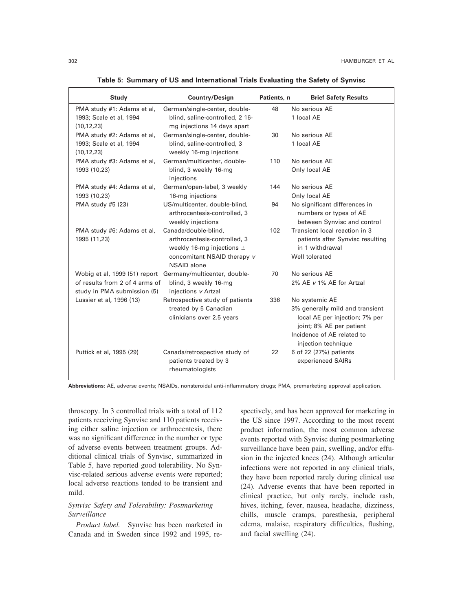| <b>Study</b>                                                                                   | <b>Country/Design</b>                                                                                                | Patients, n | <b>Brief Safety Results</b>                                                                                                                                          |
|------------------------------------------------------------------------------------------------|----------------------------------------------------------------------------------------------------------------------|-------------|----------------------------------------------------------------------------------------------------------------------------------------------------------------------|
| PMA study #1: Adams et al,<br>1993; Scale et al, 1994                                          | German/single-center, double-<br>blind, saline-controlled, 2 16-                                                     | 48          | No serious AE<br>1 local AE                                                                                                                                          |
| (10, 12, 23)<br>PMA study #2: Adams et al,                                                     | mg injections 14 days apart<br>German/single-center, double-                                                         | 30          | No serious AE                                                                                                                                                        |
| 1993; Scale et al, 1994<br>(10, 12, 23)                                                        | blind, saline-controlled, 3<br>weekly 16-mg injections                                                               |             | 1 local AE                                                                                                                                                           |
| PMA study #3: Adams et al,<br>1993 (10,23)                                                     | German/multicenter, double-<br>blind, 3 weekly 16-mg                                                                 | 110         | No serious AE<br>Only local AE                                                                                                                                       |
| PMA study #4: Adams et al,                                                                     | injections<br>German/open-label, 3 weekly                                                                            | 144         | No serious AE                                                                                                                                                        |
| 1993 (10,23)<br>PMA study #5 (23)                                                              | 16-mg injections<br>US/multicenter, double-blind,                                                                    | 94          | Only local AE<br>No significant differences in                                                                                                                       |
|                                                                                                | arthrocentesis-controlled, 3<br>weekly injections                                                                    |             | numbers or types of AE<br>between Synvisc and control                                                                                                                |
| PMA study #6: Adams et al,<br>1995 (11,23)                                                     | Canada/double-blind,<br>arthrocentesis-controlled, 3<br>weekly 16-mg injections $\pm$<br>concomitant NSAID therapy v | 102         | Transient local reaction in 3<br>patients after Synvisc resulting<br>in 1 withdrawal<br>Well tolerated                                                               |
| Wobig et al, 1999 (51) report<br>of results from 2 of 4 arms of<br>study in PMA submission (5) | NSAID alone<br>Germany/multicenter, double-<br>blind, 3 weekly 16-mg<br>injections v Artzal                          | 70          | No serious AE<br>2% AE v 1% AE for Artzal                                                                                                                            |
| Lussier et al, 1996 (13)                                                                       | Retrospective study of patients<br>treated by 5 Canadian<br>clinicians over 2.5 years                                | 336         | No systemic AE<br>3% generally mild and transient<br>local AE per injection; 7% per<br>joint; 8% AE per patient<br>Incidence of AE related to<br>injection technique |
| Puttick et al, 1995 (29)                                                                       | Canada/retrospective study of<br>patients treated by 3<br>rheumatologists                                            | 22          | 6 of 22 (27%) patients<br>experienced SAIRs                                                                                                                          |

**Table 5: Summary of US and International Trials Evaluating the Safety of Synvisc**

**Abbreviations:** AE, adverse events; NSAIDs, nonsteroidal anti-inflammatory drugs; PMA, premarketing approval application.

throscopy. In 3 controlled trials with a total of 112 patients receiving Synvisc and 110 patients receiving either saline injection or arthrocentesis, there was no significant difference in the number or type of adverse events between treatment groups. Additional clinical trials of Synvisc, summarized in Table 5, have reported good tolerability. No Synvisc-related serious adverse events were reported; local adverse reactions tended to be transient and mild.

# *Synvisc Safety and Tolerability: Postmarketing Surveillance*

*Product label.* Synvisc has been marketed in Canada and in Sweden since 1992 and 1995, respectively, and has been approved for marketing in the US since 1997. According to the most recent product information, the most common adverse events reported with Synvisc during postmarketing surveillance have been pain, swelling, and/or effusion in the injected knees (24). Although articular infections were not reported in any clinical trials, they have been reported rarely during clinical use (24). Adverse events that have been reported in clinical practice, but only rarely, include rash, hives, itching, fever, nausea, headache, dizziness, chills, muscle cramps, paresthesia, peripheral edema, malaise, respiratory difficulties, flushing, and facial swelling (24).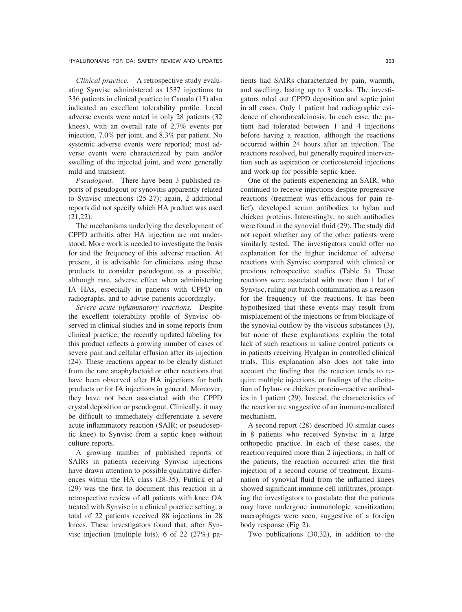*Clinical practice.* A retrospective study evaluating Synvisc administered as 1537 injections to 336 patients in clinical practice in Canada (13) also indicated an excellent tolerability profile. Local adverse events were noted in only 28 patients (32 knees), with an overall rate of 2.7% events per injection, 7.0% per joint, and 8.3% per patient. No systemic adverse events were reported; most adverse events were characterized by pain and/or swelling of the injected joint, and were generally mild and transient.

*Pseudogout.* There have been 3 published reports of pseudogout or synovitis apparently related to Synvisc injections (25-27); again, 2 additional reports did not specify which HA product was used (21,22).

The mechanisms underlying the development of CPPD arthritis after HA injection are not understood. More work is needed to investigate the basis for and the frequency of this adverse reaction. At present, it is advisable for clinicians using these products to consider pseudogout as a possible, although rare, adverse effect when administering IA HAs, especially in patients with CPPD on radiographs, and to advise patients accordingly.

*Severe acute inflammatory reactions.* Despite the excellent tolerability profile of Synvisc observed in clinical studies and in some reports from clinical practice, the recently updated labeling for this product reflects a growing number of cases of severe pain and cellular effusion after its injection (24). These reactions appear to be clearly distinct from the rare anaphylactoid or other reactions that have been observed after HA injections for both products or for IA injections in general. Moreover, they have not been associated with the CPPD crystal deposition or pseudogout. Clinically, it may be difficult to immediately differentiate a severe acute inflammatory reaction (SAIR; or pseudoseptic knee) to Synvisc from a septic knee without culture reports.

A growing number of published reports of SAIRs in patients receiving Synvisc injections have drawn attention to possible qualitative differences within the HA class (28-35). Puttick et al (29) was the first to document this reaction in a retrospective review of all patients with knee OA treated with Synvisc in a clinical practice setting; a total of 22 patients received 88 injections in 28 knees. These investigators found that, after Synvisc injection (multiple lots), 6 of 22 (27%) patients had SAIRs characterized by pain, warmth, and swelling, lasting up to 3 weeks. The investigators ruled out CPPD deposition and septic joint in all cases. Only 1 patient had radiographic evidence of chondrocalcinosis. In each case, the patient had tolerated between 1 and 4 injections before having a reaction, although the reactions occurred within 24 hours after an injection. The reactions resolved, but generally required intervention such as aspiration or corticosteroid injections and work-up for possible septic knee.

One of the patients experiencing an SAIR, who continued to receive injections despite progressive reactions (treatment was efficacious for pain relief), developed serum antibodies to hylan and chicken proteins. Interestingly, no such antibodies were found in the synovial fluid (29). The study did not report whether any of the other patients were similarly tested. The investigators could offer no explanation for the higher incidence of adverse reactions with Synvisc compared with clinical or previous retrospective studies (Table 5). These reactions were associated with more than 1 lot of Synvisc, ruling out batch contamination as a reason for the frequency of the reactions. It has been hypothesized that these events may result from misplacement of the injections or from blockage of the synovial outflow by the viscous substances (3), but none of these explanations explain the total lack of such reactions in saline control patients or in patients receiving Hyalgan in controlled clinical trials. This explanation also does not take into account the finding that the reaction tends to require multiple injections, or findings of the elicitation of hylan- or chicken protein–reactive antibodies in 1 patient (29). Instead, the characteristics of the reaction are suggestive of an immune-mediated mechanism.

A second report (28) described 10 similar cases in 8 patients who received Synvisc in a large orthopedic practice. In each of these cases, the reaction required more than 2 injections; in half of the patients, the reaction occurred after the first injection of a second course of treatment. Examination of synovial fluid from the inflamed knees showed significant immune cell infiltrates, prompting the investigators to postulate that the patients may have undergone immunologic sensitization; macrophages were seen, suggestive of a foreign body response (Fig 2).

Two publications (30,32), in addition to the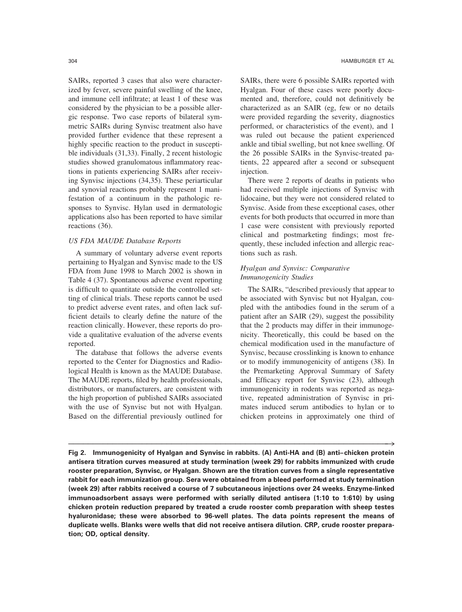SAIRs, reported 3 cases that also were characterized by fever, severe painful swelling of the knee, and immune cell infiltrate; at least 1 of these was considered by the physician to be a possible allergic response. Two case reports of bilateral symmetric SAIRs during Synvisc treatment also have provided further evidence that these represent a highly specific reaction to the product in susceptible individuals (31,33). Finally, 2 recent histologic studies showed granulomatous inflammatory reactions in patients experiencing SAIRs after receiving Synvisc injections (34,35). These periarticular and synovial reactions probably represent 1 manifestation of a continuum in the pathologic responses to Synvisc. Hylan used in dermatologic applications also has been reported to have similar reactions (36).

## *US FDA MAUDE Database Reports*

A summary of voluntary adverse event reports pertaining to Hyalgan and Synvisc made to the US FDA from June 1998 to March 2002 is shown in Table 4 (37). Spontaneous adverse event reporting is difficult to quantitate outside the controlled setting of clinical trials. These reports cannot be used to predict adverse event rates, and often lack sufficient details to clearly define the nature of the reaction clinically. However, these reports do provide a qualitative evaluation of the adverse events reported.

The database that follows the adverse events reported to the Center for Diagnostics and Radiological Health is known as the MAUDE Database. The MAUDE reports, filed by health professionals, distributors, or manufacturers, are consistent with the high proportion of published SAIRs associated with the use of Synvisc but not with Hyalgan. Based on the differential previously outlined for

SAIRs, there were 6 possible SAIRs reported with Hyalgan. Four of these cases were poorly documented and, therefore, could not definitively be characterized as an SAIR (eg, few or no details were provided regarding the severity, diagnostics performed, or characteristics of the event), and 1 was ruled out because the patient experienced ankle and tibial swelling, but not knee swelling. Of the 26 possible SAIRs in the Synvisc-treated patients, 22 appeared after a second or subsequent injection.

There were 2 reports of deaths in patients who had received multiple injections of Synvisc with lidocaine, but they were not considered related to Synvisc. Aside from these exceptional cases, other events for both products that occurred in more than 1 case were consistent with previously reported clinical and postmarketing findings; most frequently, these included infection and allergic reactions such as rash.

# *Hyalgan and Synvisc: Comparative Immunogenicity Studies*

The SAIRs, "described previously that appear to be associated with Synvisc but not Hyalgan, coupled with the antibodies found in the serum of a patient after an SAIR (29), suggest the possibility that the 2 products may differ in their immunogenicity. Theoretically, this could be based on the chemical modification used in the manufacture of Synvisc, because crosslinking is known to enhance or to modify immunogenicity of antigens (38). In the Premarketing Approval Summary of Safety and Efficacy report for Synvisc (23), although immunogenicity in rodents was reported as negative, repeated administration of Synvisc in primates induced serum antibodies to hylan or to chicken proteins in approximately one third of

™™™™™™™™™™™™™™™™™™™™™™™™™™™™™™™™™™™™™™™™™™™™™™™™™™™™™™™™™™™™™™™™™3 **Fig 2. Immunogenicity of Hyalgan and Synvisc in rabbits. (A) Anti-HA and (B) anti–chicken protein antisera titration curves measured at study termination (week 29) for rabbits immunized with crude rooster preparation, Synvisc, or Hyalgan. Shown are the titration curves from a single representative rabbit for each immunization group. Sera were obtained from a bleed performed at study termination (week 29) after rabbits received a course of 7 subcutaneous injections over 24 weeks. Enzyme-linked immunoadsorbent assays were performed with serially diluted antisera (1:10 to 1:610) by using chicken protein reduction prepared by treated a crude rooster comb preparation with sheep testes hyaluronidase; these were absorbed to 96-well plates. The data points represent the means of duplicate wells. Blanks were wells that did not receive antisera dilution. CRP, crude rooster preparation; OD, optical density.**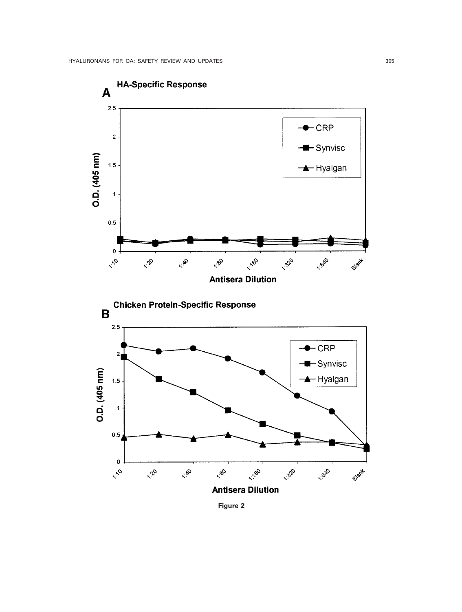

**Figure 2**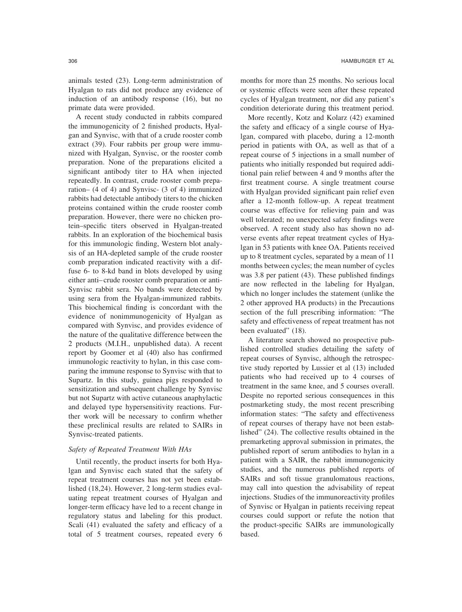animals tested (23). Long-term administration of Hyalgan to rats did not produce any evidence of induction of an antibody response (16), but no primate data were provided.

A recent study conducted in rabbits compared the immunogenicity of 2 finished products, Hyalgan and Synvisc, with that of a crude rooster comb extract (39). Four rabbits per group were immunized with Hyalgan, Synvisc, or the rooster comb preparation. None of the preparations elicited a significant antibody titer to HA when injected repeatedly. In contrast, crude rooster comb preparation– (4 of 4) and Synvisc- (3 of 4) immunized rabbits had detectable antibody titers to the chicken proteins contained within the crude rooster comb preparation. However, there were no chicken protein–specific titers observed in Hyalgan-treated rabbits. In an exploration of the biochemical basis for this immunologic finding, Western blot analysis of an HA-depleted sample of the crude rooster comb preparation indicated reactivity with a diffuse 6- to 8-kd band in blots developed by using either anti–crude rooster comb preparation or anti-Synvisc rabbit sera. No bands were detected by using sera from the Hyalgan-immunized rabbits. This biochemical finding is concordant with the evidence of nonimmunogenicity of Hyalgan as compared with Synvisc, and provides evidence of the nature of the qualitative difference between the 2 products (M.I.H., unpublished data). A recent report by Goomer et al (40) also has confirmed immunologic reactivity to hylan, in this case comparing the immune response to Synvisc with that to Supartz. In this study, guinea pigs responded to sensitization and subsequent challenge by Synvisc but not Supartz with active cutaneous anaphylactic and delayed type hypersensitivity reactions. Further work will be necessary to confirm whether these preclinical results are related to SAIRs in Synvisc-treated patients.

### *Safety of Repeated Treatment With HAs*

Until recently, the product inserts for both Hyalgan and Synvisc each stated that the safety of repeat treatment courses has not yet been established (18,24). However, 2 long-term studies evaluating repeat treatment courses of Hyalgan and longer-term efficacy have led to a recent change in regulatory status and labeling for this product. Scali (41) evaluated the safety and efficacy of a total of 5 treatment courses, repeated every 6

months for more than 25 months. No serious local or systemic effects were seen after these repeated cycles of Hyalgan treatment, nor did any patient's condition deteriorate during this treatment period.

More recently, Kotz and Kolarz (42) examined the safety and efficacy of a single course of Hyalgan, compared with placebo, during a 12-month period in patients with OA, as well as that of a repeat course of 5 injections in a small number of patients who initially responded but required additional pain relief between 4 and 9 months after the first treatment course. A single treatment course with Hyalgan provided significant pain relief even after a 12-month follow-up. A repeat treatment course was effective for relieving pain and was well tolerated; no unexpected safety findings were observed. A recent study also has shown no adverse events after repeat treatment cycles of Hyalgan in 53 patients with knee OA. Patients received up to 8 treatment cycles, separated by a mean of 11 months between cycles; the mean number of cycles was 3.8 per patient (43). These published findings are now reflected in the labeling for Hyalgan, which no longer includes the statement (unlike the 2 other approved HA products) in the Precautions section of the full prescribing information: "The safety and effectiveness of repeat treatment has not been evaluated" (18).

A literature search showed no prospective published controlled studies detailing the safety of repeat courses of Synvisc, although the retrospective study reported by Lussier et al (13) included patients who had received up to 4 courses of treatment in the same knee, and 5 courses overall. Despite no reported serious consequences in this postmarketing study, the most recent prescribing information states: "The safety and effectiveness of repeat courses of therapy have not been established" (24). The collective results obtained in the premarketing approval submission in primates, the published report of serum antibodies to hylan in a patient with a SAIR, the rabbit immunogenicity studies, and the numerous published reports of SAIRs and soft tissue granulomatous reactions, may call into question the advisability of repeat injections. Studies of the immunoreactivity profiles of Synvisc or Hyalgan in patients receiving repeat courses could support or refute the notion that the product-specific SAIRs are immunologically based.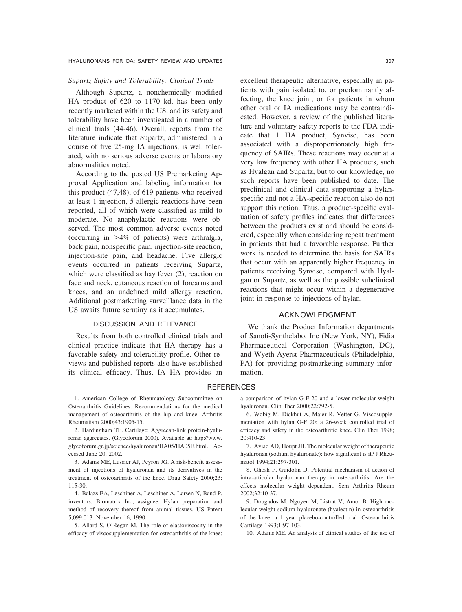#### *Supartz Safety and Tolerability: Clinical Trials*

Although Supartz, a nonchemically modified HA product of 620 to 1170 kd, has been only recently marketed within the US, and its safety and tolerability have been investigated in a number of clinical trials (44-46). Overall, reports from the literature indicate that Supartz, administered in a course of five 25-mg IA injections, is well tolerated, with no serious adverse events or laboratory abnormalities noted.

According to the posted US Premarketing Approval Application and labeling information for this product (47,48), of 619 patients who received at least 1 injection, 5 allergic reactions have been reported, all of which were classified as mild to moderate. No anaphylactic reactions were observed. The most common adverse events noted (occurring in  $>4\%$  of patients) were arthralgia, back pain, nonspecific pain, injection-site reaction, injection-site pain, and headache. Five allergic events occurred in patients receiving Supartz, which were classified as hay fever (2), reaction on face and neck, cutaneous reaction of forearms and knees, and an undefined mild allergy reaction. Additional postmarketing surveillance data in the US awaits future scrutiny as it accumulates.

## DISCUSSION AND RELEVANCE

Results from both controlled clinical trials and clinical practice indicate that HA therapy has a favorable safety and tolerability profile. Other reviews and published reports also have established its clinical efficacy. Thus, IA HA provides an excellent therapeutic alternative, especially in patients with pain isolated to, or predominantly affecting, the knee joint, or for patients in whom other oral or IA medications may be contraindicated. However, a review of the published literature and voluntary safety reports to the FDA indicate that 1 HA product, Synvisc, has been associated with a disproportionately high frequency of SAIRs. These reactions may occur at a very low frequency with other HA products, such as Hyalgan and Supartz, but to our knowledge, no such reports have been published to date. The preclinical and clinical data supporting a hylanspecific and not a HA-specific reaction also do not support this notion. Thus, a product-specific evaluation of safety profiles indicates that differences between the products exist and should be considered, especially when considering repeat treatment in patients that had a favorable response. Further work is needed to determine the basis for SAIRs that occur with an apparently higher frequency in patients receiving Synvisc, compared with Hyalgan or Supartz, as well as the possible subclinical reactions that might occur within a degenerative joint in response to injections of hylan.

## ACKNOWLEDGMENT

We thank the Product Information departments of Sanofi-Synthelabo, Inc (New York, NY), Fidia Pharmaceutical Corporation (Washington, DC), and Wyeth-Ayerst Pharmaceuticals (Philadelphia, PA) for providing postmarketing summary information.

#### REFERENCES

1. American College of Rheumatology Subcommittee on Osteoarthritis Guidelines. Recommendations for the medical management of osteoarthritis of the hip and knee. Arthritis Rheumatism 2000;43:1905-15.

2. Hardingham TE. Cartilage: Aggrecan-link protein-hyaluronan aggregates. (Glycoforum 2000). Available at: http://www. glycoforum.gr.jp/science/hyaluronan/HA05/HA05E.html. Accessed June 20, 2002.

3. Adams ME, Lussier AJ, Peyron JG. A risk-benefit assessment of injections of hyaluronan and its derivatives in the treatment of osteoarthritis of the knee. Drug Safety 2000;23: 115-30.

4. Balazs EA, Leschiner A, Leschiner A, Larsen N, Band P, inventors. Biomatrix Inc, assignee. Hylan preparation and method of recovery thereof from animal tissues. US Patent 5,099,013. November 16, 1990.

5. Allard S, O'Regan M. The role of elastoviscosity in the efficacy of viscosupplementation for osteoarthritis of the knee: a comparison of hylan G-F 20 and a lower-molecular-weight hyaluronan. Clin Ther 2000;22:792-5.

6. Wobig M, Dickhut A, Maier R, Vetter G. Viscosupplementation with hylan G-F 20: a 26-week controlled trial of efficacy and safety in the osteoarthritic knee. Clin Ther 1998; 20:410-23.

7. Aviad AD, Houpt JB. The molecular weight of therapeutic hyaluronan (sodium hyaluronate): how significant is it? J Rheumatol 1994;21:297-301.

8. Ghosh P, Guidolin D. Potential mechanism of action of intra-articular hyaluronan therapy in osteoarthritis: Are the effects molecular weight dependent. Sem Arthritis Rheum 2002;32:10-37.

9. Dougados M, Nguyen M, Listrat V, Amor B. High molecular weight sodium hyaluronate (hyalectin) in osteoarthritis of the knee: a 1 year placebo-controlled trial. Osteoarthritis Cartilage 1993;1:97-103.

10. Adams ME. An analysis of clinical studies of the use of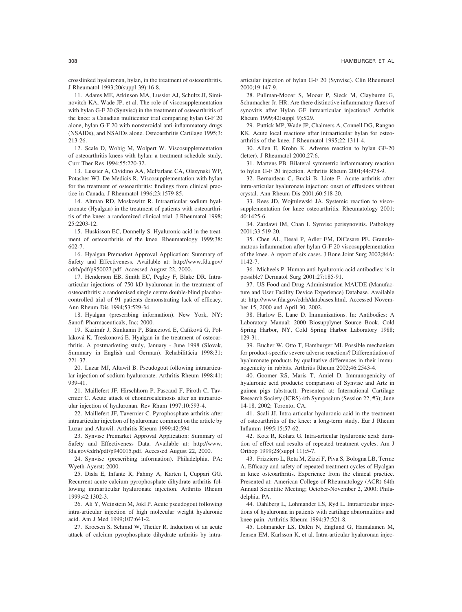crosslinked hyaluronan, hylan, in the treatment of osteoarthritis. J Rheumatol 1993;20(suppl 39):16-8.

11. Adams ME, Atkinson MA, Lussier AJ, Schultz JI, Siminovitch KA, Wade JP, et al. The role of viscosupplementation with hylan G-F 20 (Synvisc) in the treatment of osteoarthritis of the knee: a Canadian multicenter trial comparing hylan G-F 20 alone, hylan G-F 20 with nonsteroidal anti-inflammatory drugs (NSAIDs), and NSAIDs alone. Osteoarthritis Cartilage 1995;3: 213-26.

12. Scale D, Wobig M, Wolpert W. Viscosupplementation of osteoarthritis knees with hylan: a treatment schedule study. Curr Ther Res 1994;55:220-32.

13. Lussier A, Cividino AA, McFarlane CA, Olszynski WP, Potasher WJ, De Medicis R. Viscosupplementation with hylan for the treatment of osteoarthritis: findings from clinical practice in Canada. J Rheumatol 1996;23:1579-85.

14. Altman RD, Moskowitz R. Intraarticular sodium hyaluronate (Hyalgan) in the treatment of patients with osteoarthritis of the knee: a randomized clinical trial. J Rheumatol 1998; 25:2203-12.

15. Huskisson EC, Donnelly S. Hyaluronic acid in the treatment of osteoarthritis of the knee. Rheumatology 1999;38: 602-7.

16. Hyalgan Premarket Approval Application: Summary of Safety and Effectiveness. Available at: http://www.fda.gov/ cdrh/pdf/p950027.pdf. Accessed August 22, 2000.

17. Henderson EB, Smith EC, Pegley F, Blake DR. Intraarticular injections of 750 kD hyaluronan in the treatment of osteoarthritis: a randomised single centre double-blind placebocontrolled trial of 91 patients demonstrating lack of efficacy. Ann Rheum Dis 1994;53:529-34.

18. Hyalgan (prescribing information). New York, NY: Sanofi Pharmaceuticals, Inc; 2000.

19. Kazimír J, Simkanin P, Báncziová E, Cafiková G, Polláková K, Treskonová E. Hyalgan in the treatment of osteoarthritis. A postmarketing study, January - June 1998 (Slovak, Summary in English and German). Rehabilitácia 1998;31: 221-37.

20. Luzar MJ, Altawil B. Pseudogout following intraarticular injection of sodium hyaluronate. Arthritis Rheum 1998;41: 939-41.

21. Maillefert JF, Hirschhorn P, Pascaud F, Piroth C, Tavernier C. Acute attack of chondrocalcinosis after an intraarticular injection of hyaluronan. Rev Rhum 1997;10:593-4.

22. Maillefert JF, Tavernier C. Pyrophosphate arthritis after intraarticular injection of hyaluronan: comment on the article by Luzar and Altawil. Arthritis Rheum 1999;42:594.

23. Synvisc Premarket Approval Application: Summary of Safety and Effectiveness Data. Available at: http://www. fda.gov/cdrh/pdf/p940015.pdf. Accessed August 22, 2000.

24. Synvisc (prescribing information). Philadelphia, PA: Wyeth-Ayerst; 2000.

25. Disla E, Infante R, Fahmy A, Karten I, Cuppari GG. Recurrent acute calcium pyrophosphate dihydrate arthritis following intraarticular hyaluronate injection. Arthritis Rheum 1999;42:1302-3.

26. Ali Y, Weinstein M, Jokl P. Acute pseudogout following intra-articular injection of high molecular weight hyaluronic acid. Am J Med 1999;107:641-2.

27. Kroesen S, Schmid W, Theiler R. Induction of an acute attack of calcium pyrophosphate dihydrate arthritis by intraarticular injection of hylan G-F 20 (Synvisc). Clin Rheumatol 2000;19:147-9.

28. Pullman-Mooar S, Mooar P, Sieck M, Clayburne G, Schumacher Jr. HR. Are there distinctive inflammatory flares of synovitis after Hylan GF intraarticular injections? Arthritis Rheum 1999;42(suppl 9):S29.

29. Puttick MP, Wade JP, Chalmers A, Connell DG, Rangno KK. Acute local reactions after intraarticular hylan for osteoarthritis of the knee. J Rheumatol 1995;22:1311-4.

30. Allen E, Krohn K. Adverse reaction to hylan GF-20 (letter). J Rheumatol 2000;27:6.

31. Martens PB. Bilateral symmetric inflammatory reaction to hylan G-F 20 injection. Arthritis Rheum 2001;44:978-9.

32. Bernardeau C, Bucki B, Liote F. Acute arthritis after intra-articular hyaluronate injection: onset of effusions without crystal. Ann Rheum Dis 2001;60:518-20.

33. Rees JD, Wojtulewski JA. Systemic reaction to viscosupplementation for knee osteoarthritis. Rheumatology 2001; 40:1425-6.

34. Zardawi IM, Chan I. Synvisc perisynovitis. Pathology 2001;33:519-20.

35. Chen AL, Desai P, Adler EM, DiCesare PE. Granulomatous inflammation after hylan G-F 20 viscosupplementation of the knee. A report of six cases. J Bone Joint Surg 2002;84A: 1142-7.

36. Micheels P. Human anti-hyaluronic acid antibodies: is it possible? Dermatol Surg 2001;27:185-91.

37. US Food and Drug Administration MAUDE (Manufacture and User Facility Device Experience) Database. Available at: http://www.fda.gov/cdrh/databases.html. Accessed November 15, 2000 and April 30, 2002.

38. Harlow E, Lane D. Immunizations. In: Antibodies: A Laboratory Manual: 2000 Biosupplynet Source Book. Cold Spring Harbor, NY, Cold Spring Harbor Laboratory 1988; 129-31.

39. Bucher W, Otto T, Hamburger MI. Possible mechanism for product-specific severe adverse reactions? Differentiation of hyaluronate products by qualitative differences in their immunogenicity in rabbits. Arthritis Rheum 2002;46:2543-4.

40. Goomer RS, Maris T, Amiel D. Immunogenicity of hyaluronic acid products: comparison of Synvisc and Artz in guinea pigs (abstract). Presented at: International Cartilage Research Society (ICRS) 4th Symposium (Session 22, #3); June 14-18, 2002; Toronto, CA.

41. Scali JJ. Intra-articular hyaluronic acid in the treatment of osteoarthritis of the knee: a long-term study. Eur J Rheum Inflamm 1995;15:57-62.

42. Kotz R, Kolarz G. Intra-articular hyaluronic acid: duration of effect and results of repeated treatment cycles. Am J Orthop 1999;28(suppl 11):5-7.

43. Frizziero L, Reta M, Zizzi F, Piva S, Bologna LB, Terme A. Efficacy and safety of repeated treatment cycles of Hyalgan in knee osteoarthritis. Experience from the clinical practice. Presented at: American College of Rheumatology (ACR) 64th Annual Scientific Meeting; October-November 2, 2000; Philadelphia, PA.

44. Dahlberg L, Lohmander LS, Ryd L. Intraarticular injections of hyaluronan in patients with cartilage abnormalities and knee pain. Arthritis Rheum 1994;37:521-8.

45. Lohmander LS, Dalén N, Englund G, Hamalainen M, Jensen EM, Karlsson K, et al. Intra-articular hyaluronan injec-